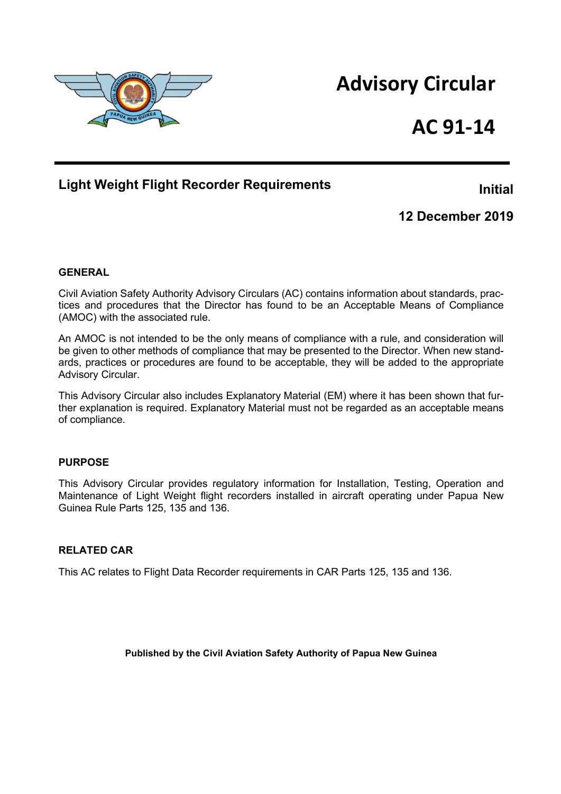

# **AC 91-14**

# **Light Weight Flight Recorder Requirements**

**Initial**

**12 December 2019**

### **GENERAL**

Civil Aviation Safety Authority Advisory Circulars (AC) contains information about standards, practices and procedures that the Director has found to be an Acceptable Means of Compliance (AMOC) with the associated rule.

An AMOC is not intended to be the only means of compliance with a rule, and consideration will be given to other methods of compliance that may be presented to the Director. When new standards, practices or procedures are found to be acceptable, they will be added to the appropriate Advisory Circular.

This Advisory Circular also includes Explanatory Material (EM) where it has been shown that further explanation is required. Explanatory Material must not be regarded as an acceptable means of compliance.

### **PURPOSE**

This Advisory Circular provides regulatory information for Installation, Testing, Operation and Maintenance of Light Weight flight recorders installed in aircraft operating under Papua New Guinea Rule Parts 125, 135 and 136.

### **RELATED CAR**

This AC relates to Flight Data Recorder requirements in CAR Parts 125, 135 and 136.

**Published by the Civil Aviation Safety Authority of Papua New Guinea**

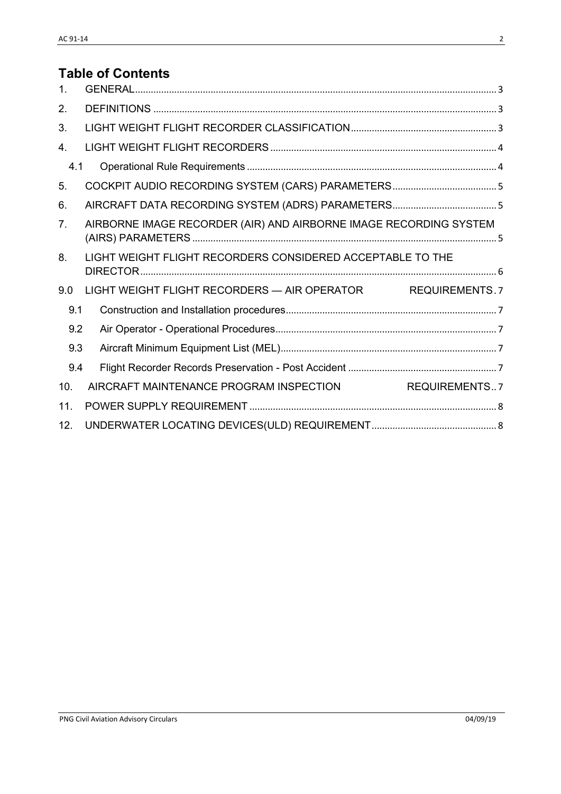# **Table of Contents**

| $\mathbf{1}$ . |                                                                   |  |  |
|----------------|-------------------------------------------------------------------|--|--|
| 2.             |                                                                   |  |  |
| 3.             |                                                                   |  |  |
| 4.             |                                                                   |  |  |
| 4.1            |                                                                   |  |  |
| 5.             |                                                                   |  |  |
| 6.             |                                                                   |  |  |
| 7 <sub>1</sub> | AIRBORNE IMAGE RECORDER (AIR) AND AIRBORNE IMAGE RECORDING SYSTEM |  |  |
| 8.             | LIGHT WEIGHT FLIGHT RECORDERS CONSIDERED ACCEPTABLE TO THE        |  |  |
| 9.0            | LIGHT WEIGHT FLIGHT RECORDERS - AIR OPERATOR REQUIREMENTS. 7      |  |  |
| 9.1            |                                                                   |  |  |
| 9.2            |                                                                   |  |  |
| 9.3            |                                                                   |  |  |
| 9.4            |                                                                   |  |  |
| 10.            | AIRCRAFT MAINTENANCE PROGRAM INSPECTION<br>REQUIREMENTS7          |  |  |
| 11.            |                                                                   |  |  |
| 12.            |                                                                   |  |  |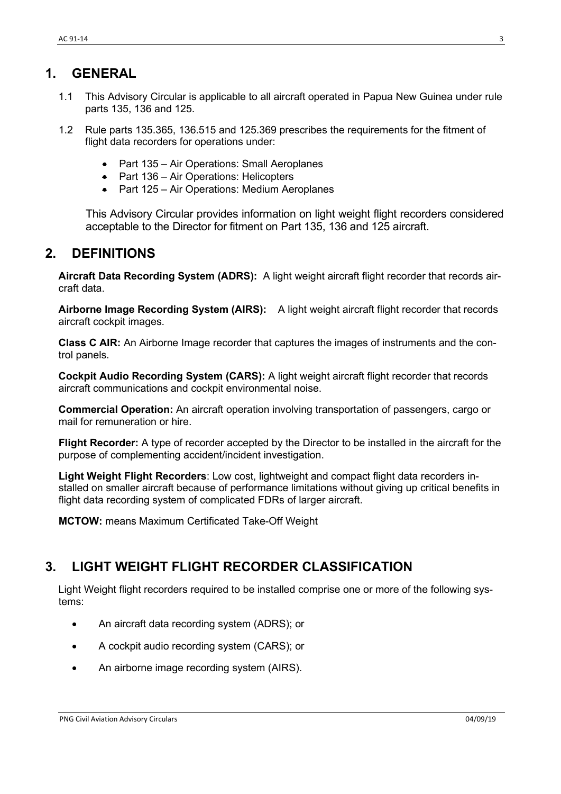### <span id="page-2-0"></span>**1. GENERAL**

- 1.1 This Advisory Circular is applicable to all aircraft operated in Papua New Guinea under rule parts 135, 136 and 125.
- 1.2 Rule parts 135.365, 136.515 and 125.369 prescribes the requirements for the fitment of flight data recorders for operations under:
	- Part 135 Air Operations: Small Aeroplanes
	- Part 136 Air Operations: Helicopters
	- Part 125 Air Operations: Medium Aeroplanes

This Advisory Circular provides information on light weight flight recorders considered acceptable to the Director for fitment on Part 135, 136 and 125 aircraft.

### <span id="page-2-1"></span>**2. DEFINITIONS**

**Aircraft Data Recording System (ADRS):** A light weight aircraft flight recorder that records aircraft data.

**Airborne Image Recording System (AIRS):** A light weight aircraft flight recorder that records aircraft cockpit images.

**Class C AIR:** An Airborne Image recorder that captures the images of instruments and the control panels.

**Cockpit Audio Recording System (CARS):** A light weight aircraft flight recorder that records aircraft communications and cockpit environmental noise.

**Commercial Operation:** An aircraft operation involving transportation of passengers, cargo or mail for remuneration or hire.

**Flight Recorder:** A type of recorder accepted by the Director to be installed in the aircraft for the purpose of complementing accident/incident investigation.

**Light Weight Flight Recorders**: Low cost, lightweight and compact flight data recorders installed on smaller aircraft because of performance limitations without giving up critical benefits in flight data recording system of complicated FDRs of larger aircraft.

**MCTOW:** means Maximum Certificated Take-Off Weight

# <span id="page-2-2"></span>**3. LIGHT WEIGHT FLIGHT RECORDER CLASSIFICATION**

Light Weight flight recorders required to be installed comprise one or more of the following systems:

- An aircraft data recording system (ADRS); or
- A cockpit audio recording system (CARS); or
- An airborne image recording system (AIRS).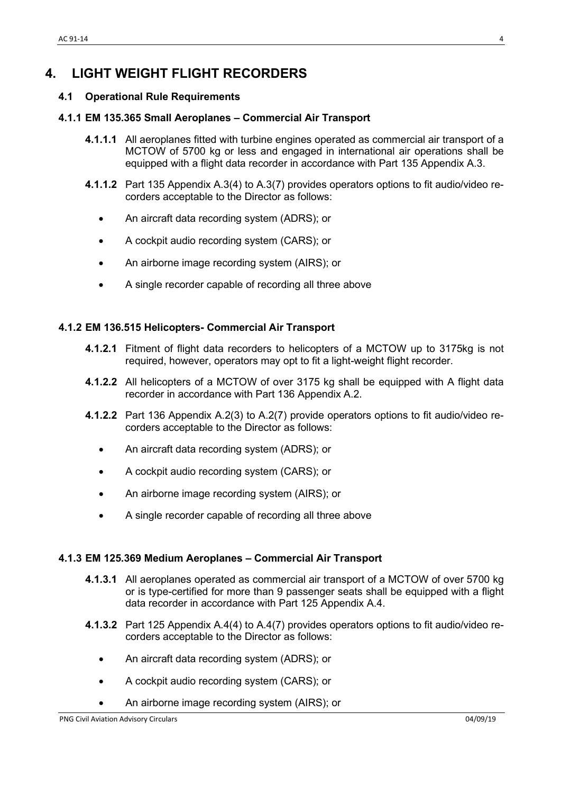# <span id="page-3-0"></span>**4. LIGHT WEIGHT FLIGHT RECORDERS**

### <span id="page-3-1"></span>**4.1 Operational Rule Requirements**

#### **4.1.1 EM 135.365 Small Aeroplanes – Commercial Air Transport**

- **4.1.1.1** All aeroplanes fitted with turbine engines operated as commercial air transport of a MCTOW of 5700 kg or less and engaged in international air operations shall be equipped with a flight data recorder in accordance with Part 135 Appendix A.3.
- **4.1.1.2** Part 135 Appendix A.3(4) to A.3(7) provides operators options to fit audio/video recorders acceptable to the Director as follows:
	- An aircraft data recording system (ADRS); or
	- A cockpit audio recording system (CARS); or
	- An airborne image recording system (AIRS); or
	- A single recorder capable of recording all three above

### **4.1.2 EM 136.515 Helicopters- Commercial Air Transport**

- **4.1.2.1** Fitment of flight data recorders to helicopters of a MCTOW up to 3175kg is not required, however, operators may opt to fit a light-weight flight recorder.
- **4.1.2.2** All helicopters of a MCTOW of over 3175 kg shall be equipped with A flight data recorder in accordance with Part 136 Appendix A.2.
- **4.1.2.2** Part 136 Appendix A.2(3) to A.2(7) provide operators options to fit audio/video recorders acceptable to the Director as follows:
	- An aircraft data recording system (ADRS); or
	- A cockpit audio recording system (CARS); or
	- An airborne image recording system (AIRS); or
	- A single recorder capable of recording all three above

### **4.1.3 EM 125.369 Medium Aeroplanes – Commercial Air Transport**

- **4.1.3.1** All aeroplanes operated as commercial air transport of a MCTOW of over 5700 kg or is type-certified for more than 9 passenger seats shall be equipped with a flight data recorder in accordance with Part 125 Appendix A.4.
- **4.1.3.2** Part 125 Appendix A.4(4) to A.4(7) provides operators options to fit audio/video recorders acceptable to the Director as follows:
	- An aircraft data recording system (ADRS); or
	- A cockpit audio recording system (CARS); or
	- An airborne image recording system (AIRS); or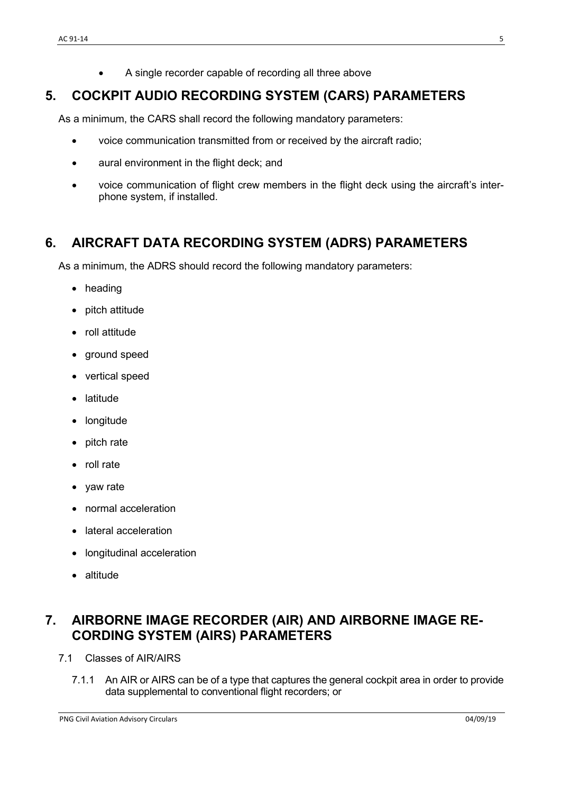• A single recorder capable of recording all three above

# <span id="page-4-0"></span>**5. COCKPIT AUDIO RECORDING SYSTEM (CARS) PARAMETERS**

As a minimum, the CARS shall record the following mandatory parameters:

- voice communication transmitted from or received by the aircraft radio;
- aural environment in the flight deck; and
- voice communication of flight crew members in the flight deck using the aircraft's interphone system, if installed.

# <span id="page-4-1"></span>**6. AIRCRAFT DATA RECORDING SYSTEM (ADRS) PARAMETERS**

As a minimum, the ADRS should record the following mandatory parameters:

- heading
- pitch attitude
- roll attitude
- ground speed
- vertical speed
- **latitude**
- **longitude**
- pitch rate
- roll rate
- yaw rate
- normal acceleration
- lateral acceleration
- longitudinal acceleration
- altitude

# <span id="page-4-2"></span>**7. AIRBORNE IMAGE RECORDER (AIR) AND AIRBORNE IMAGE RE-CORDING SYSTEM (AIRS) PARAMETERS**

- 7.1 Classes of AIR/AIRS
	- 7.1.1 An AIR or AIRS can be of a type that captures the general cockpit area in order to provide data supplemental to conventional flight recorders; or

PNG Civil Aviation Advisory Circulars 04/09/19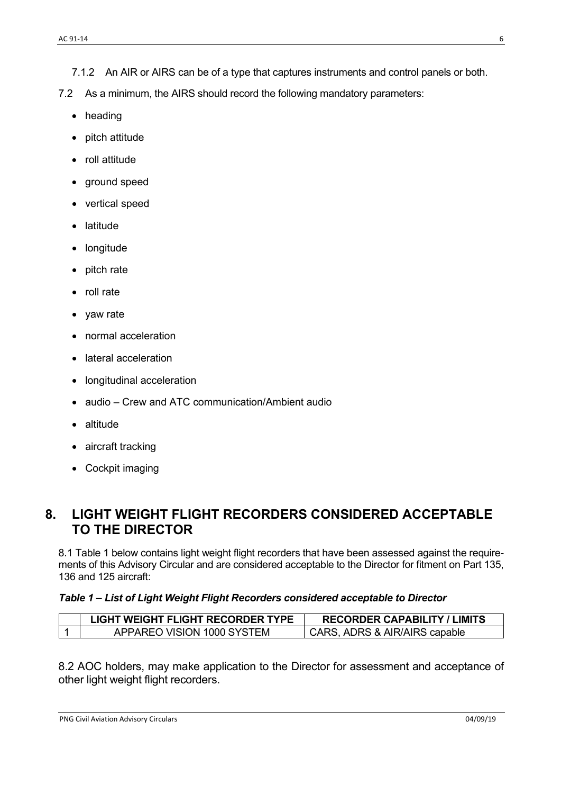- 7.1.2 An AIR or AIRS can be of a type that captures instruments and control panels or both.
- 7.2 As a minimum, the AIRS should record the following mandatory parameters:
	- heading
	- pitch attitude
	- roll attitude
	- ground speed
	- vertical speed
	- latitude
	- longitude
	- pitch rate
	- roll rate
	- yaw rate
	- normal acceleration
	- lateral acceleration
	- longitudinal acceleration
	- audio Crew and ATC communication/Ambient audio
	- altitude
	- aircraft tracking
	- Cockpit imaging

### <span id="page-5-0"></span>**8. LIGHT WEIGHT FLIGHT RECORDERS CONSIDERED ACCEPTABLE TO THE DIRECTOR**

8.1 Table 1 below contains light weight flight recorders that have been assessed against the requirements of this Advisory Circular and are considered acceptable to the Director for fitment on Part 135, 136 and 125 aircraft:

### *Table 1 – List of Light Weight Flight Recorders considered acceptable to Director*

| LIGHT WEIGHT FLIGHT RECORDER TYPE | <b>RECORDER CAPABILITY / LIMITS</b> |
|-----------------------------------|-------------------------------------|
| APPAREO VISION 1000 SYSTEM        | CARS, ADRS & AIR/AIRS capable       |

8.2 AOC holders, may make application to the Director for assessment and acceptance of other light weight flight recorders.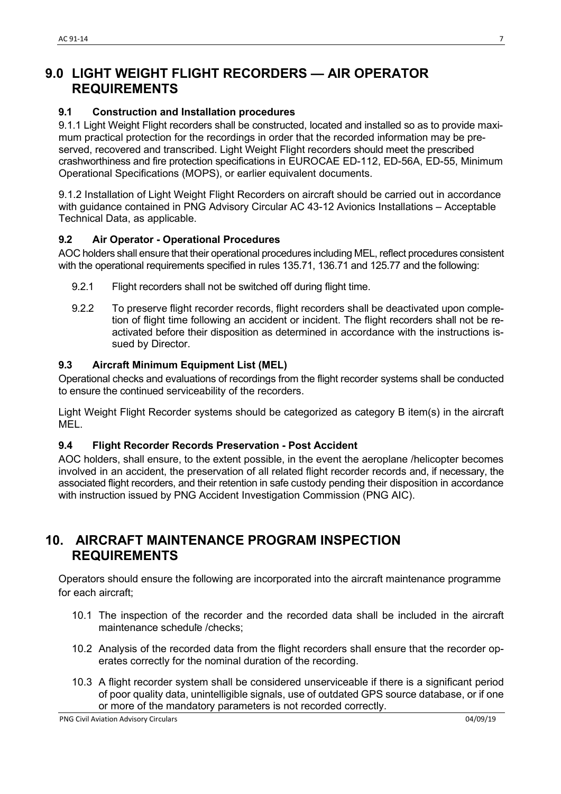### <span id="page-6-0"></span>**9.0 LIGHT WEIGHT FLIGHT RECORDERS — AIR OPERATOR REQUIREMENTS**

#### <span id="page-6-1"></span>**9.1 Construction and Installation procedures**

9.1.1 Light Weight Flight recorders shall be constructed, located and installed so as to provide maximum practical protection for the recordings in order that the recorded information may be preserved, recovered and transcribed. Light Weight Flight recorders should meet the prescribed crashworthiness and fire protection specifications in EUROCAE ED-112, ED-56A, ED-55, Minimum Operational Specifications (MOPS), or earlier equivalent documents.

9.1.2 Installation of Light Weight Flight Recorders on aircraft should be carried out in accordance with guidance contained in PNG Advisory Circular AC 43-12 Avionics Installations – Acceptable Technical Data, as applicable.

### <span id="page-6-2"></span>**9.2 Air Operator - Operational Procedures**

AOC holders shall ensure that their operational procedures including MEL, reflect procedures consistent with the operational requirements specified in rules 135.71, 136.71 and 125.77 and the following:

- 9.2.1 Flight recorders shall not be switched off during flight time.
- 9.2.2 To preserve flight recorder records, flight recorders shall be deactivated upon completion of flight time following an accident or incident. The flight recorders shall not be reactivated before their disposition as determined in accordance with the instructions issued by Director.

#### <span id="page-6-3"></span>**9.3 Aircraft Minimum Equipment List (MEL)**

Operational checks and evaluations of recordings from the flight recorder systems shall be conducted to ensure the continued serviceability of the recorders.

Light Weight Flight Recorder systems should be categorized as category B item(s) in the aircraft **MFL.** 

#### <span id="page-6-4"></span>**9.4 Flight Recorder Records Preservation - Post Accident**

AOC holders, shall ensure, to the extent possible, in the event the aeroplane /helicopter becomes involved in an accident, the preservation of all related flight recorder records and, if necessary, the associated flight recorders, and their retention in safe custody pending their disposition in accordance with instruction issued by PNG Accident Investigation Commission (PNG AIC).

### <span id="page-6-5"></span>**10. AIRCRAFT MAINTENANCE PROGRAM INSPECTION REQUIREMENTS**

Operators should ensure the following are incorporated into the aircraft maintenance programme for each aircraft;

- 10.1 The inspection of the recorder and the recorded data shall be included in the aircraft maintenance schedule /checks;
- 10.2 Analysis of the recorded data from the flight recorders shall ensure that the recorder operates correctly for the nominal duration of the recording.
- 10.3 A flight recorder system shall be considered unserviceable if there is a significant period of poor quality data, unintelligible signals, use of outdated GPS source database, or if one or more of the mandatory parameters is not recorded correctly.